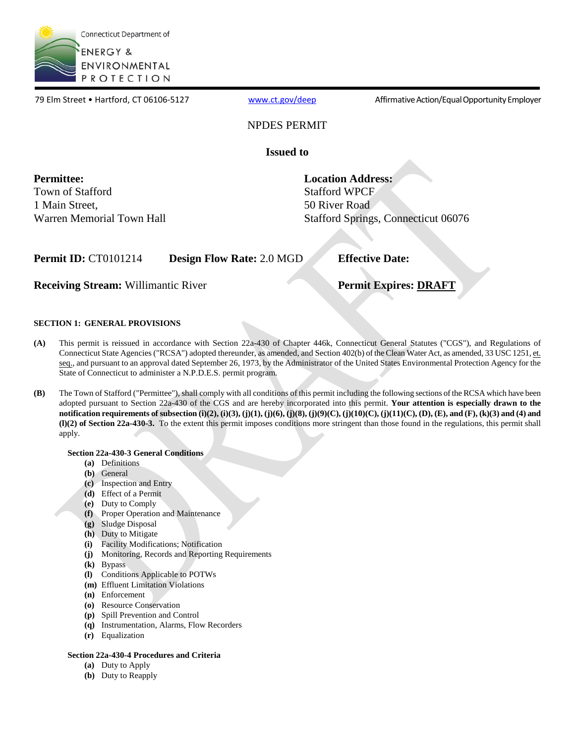

79 Elm Street • Hartford, CT 06106-5127 [www.ct.gov/deep](http://www.ct.gov/deep) Affirmative Action/Equal Opportunity Employer

# NPDES PERMIT

**Issued to** 

**Permittee:**  Town of Stafford 1 Main Street, Warren Memorial Town Hall

Stafford WPCF<br>50 River Road **Location Address:**  Stafford Springs, Connecticut 06076

**Permit ID:** CT0101214 **Design Flow Rate:** 2.0 MGD

**Receiving Stream:** Willimantic River

**Effective Date:** 

# **Permit Expires: DRAFT**

# **SECTION 1: GENERAL PROVISIONS**

- This permit is reissued in accordance with Section 22a-430 of Chapter 446k, Connecticut General Statutes ("CGS"), and Regulations of Connecticut State Agencies ("RCSA") adopted thereunder, as amended, and Section 402(b) of the Clean Water Act, as amended, 33 USC 1251, et. **(A)** seq., and pursuant to an approval dated September 26, 1973, by the Administrator of the United States Environmental Protection Agency for the State of Connecticut to administer a N.P.D.E.S. permit program.
- The Town of Stafford ("Permittee"), shall comply with all conditions of this permit including the following sections of the RCSA which have been  adopted pursuant to Section 22a-430 of the CGS and are hereby incorporated into this permit. **Your attention is especially drawn to the notification requirements of subsection (i)(2), (i)(3), (j)(1), (j)(6), (j)(8), (j)(9)(C), (j)(10)(C), (j)(11)(C), (D), (E), and (F), (k)(3) and (4) and (l)(2) of Section 22a-430-3.** To the extent this permit imposes conditions more stringent than those found in the regulations, this permit shall **(B)** apply.

# **Section 22a-430-3 General Conditions**

- **(a)** Definitions
- **(b)** General
- **(c)** Inspection and Entry
- **(d)** Effect of a Permit
- **(e)** Duty to Comply
- **(f)** Proper Operation and Maintenance
- **(g)** Sludge Disposal
- **(h)** Duty to Mitigate
- **(i)** Facility Modifications; Notification
- **(j)** Monitoring, Records and Reporting Requirements
- **(k)** Bypass
- **(l)** Conditions Applicable to POTWs
- **(m)** Effluent Limitation Violations
- **(n)** Enforcement
- **(o)** Resource Conservation
- **(p)** Spill Prevention and Control
- **(q)** Instrumentation, Alarms, Flow Recorders
- **(r)** Equalization

# **Section 22a-430-4 Procedures and Criteria**

- **(a)** Duty to Apply
- **(b)** Duty to Reapply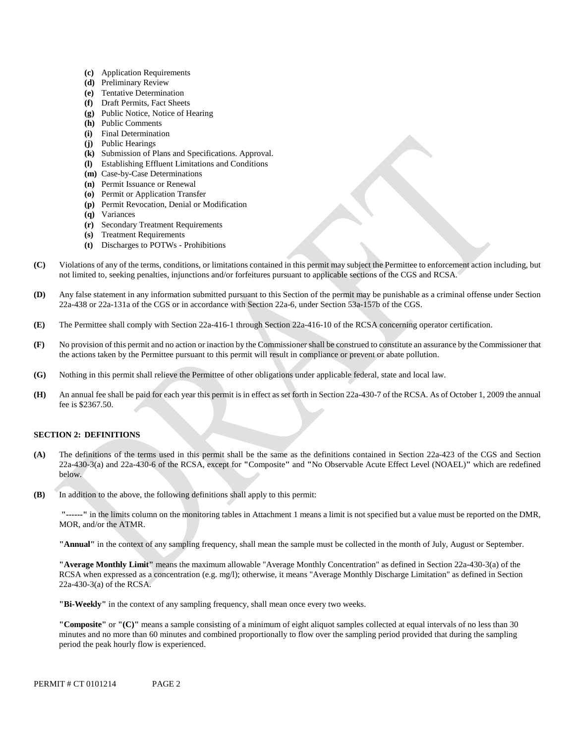- **(c)** Application Requirements
- **(d)** Preliminary Review
- **(e)** Tentative Determination
- **(f)** Draft Permits, Fact Sheets
- **(g)** Public Notice, Notice of Hearing
- **(h)** Public Comments
- **(i)** Final Determination
- **(j)** Public Hearings
- **(k)** Submission of Plans and Specifications. Approval.
- **(l)** Establishing Effluent Limitations and Conditions
- **(m)** Case-by-Case Determinations
- **(n)** Permit Issuance or Renewal
- **(o)** Permit or Application Transfer
- **(p)** Permit Revocation, Denial or Modification
- **(q)** Variances
- **(r)** Secondary Treatment Requirements
- **(s)** Treatment Requirements
- **(t)** Discharges to POTWs Prohibitions
- **(C)** Violations of any of the terms, conditions, or limitations contained in this permit may subject the Permittee to enforcement action including, but not limited to, seeking penalties, injunctions and/or forfeitures pursuant to applicable sections of the CGS and RCSA.
- **(D)** Any false statement in any information submitted pursuant to this Section of the permit may be punishable as a criminal offense under Section 22a-438 or 22a-131a of the CGS or in accordance with Section 22a-6, under Section 53a-157b of the CGS.
- **(E)**  The Permittee shall comply with Section 22a-416-1 through Section 22a-416-10 of the RCSA concerning operator certification.
- No provision of this permit and no action or inaction by the Commissioner shall be construed to constitute an assurance by the Commissioner that **(F)**  the actions taken by the Permittee pursuant to this permit will result in compliance or prevent or abate pollution.
- **(G)**  Nothing in this permit shall relieve the Permittee of other obligations under applicable federal, state and local law.
- **(H)** An annual fee shall be paid for each year this permit is in effect as set forth in Section 22a-430-7 of the RCSA. As of October 1, 2009 the annual fee is \$2367.50.

# **SECTION 2: DEFINITIONS**

- **(A)** The definitions of the terms used in this permit shall be the same as the definitions contained in Section 22a-423 of the CGS and Section 22a-430-3(a) and 22a-430-6 of the RCSA, except for **"**Composite**"** and **"**No Observable Acute Effect Level (NOAEL)**"** which are redefined below.
- **(B)** In addition to the above, the following definitions shall apply to this permit:

 **"------"** in the limits column on the monitoring tables in Attachment 1 means a limit is not specified but a value must be reported on the DMR, MOR, and/or the ATMR.

**"Annual"** in the context of any sampling frequency, shall mean the sample must be collected in the month of July, August or September.

**"Average Monthly Limit"** means the maximum allowable "Average Monthly Concentration" as defined in Section 22a-430-3(a) of the RCSA when expressed as a concentration (e.g. mg/l); otherwise, it means "Average Monthly Discharge Limitation" as defined in Section 22a-430-3(a) of the RCSA.

**"Bi-Weekly"** in the context of any sampling frequency, shall mean once every two weeks.

**"Composite"** or **"(C)"** means a sample consisting of a minimum of eight aliquot samples collected at equal intervals of no less than 30 minutes and no more than 60 minutes and combined proportionally to flow over the sampling period provided that during the sampling period the peak hourly flow is experienced.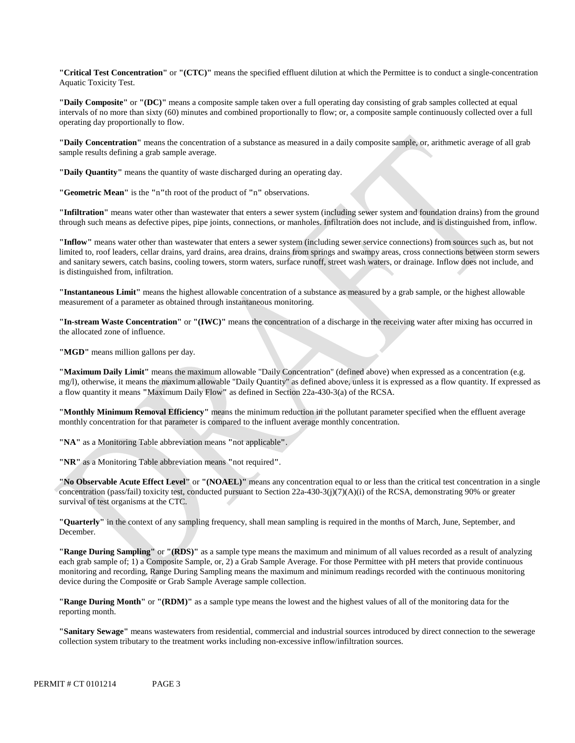**"Critical Test Concentration"** or **"(CTC)"** means the specified effluent dilution at which the Permittee is to conduct a single-concentration Aquatic Toxicity Test.

**"Daily Composite"** or **"(DC)"** means a composite sample taken over a full operating day consisting of grab samples collected at equal intervals of no more than sixty (60) minutes and combined proportionally to flow; or, a composite sample continuously collected over a full operating day proportionally to flow.

**"Daily Concentration"** means the concentration of a substance as measured in a daily composite sample, or, arithmetic average of all grab sample results defining a grab sample average.

**"Daily Quantity"** means the quantity of waste discharged during an operating day.

**"Geometric Mean"** is the **"**n**"**th root of the product of **"**n**"** observations.

**"Infiltration"** means water other than wastewater that enters a sewer system (including sewer system and foundation drains) from the ground through such means as defective pipes, pipe joints, connections, or manholes. Infiltration does not include, and is distinguished from, inflow.

 is distinguished from, infiltration. **"Inflow"** means water other than wastewater that enters a sewer system (including sewer service connections) from sources such as, but not limited to, roof leaders, cellar drains, yard drains, area drains, drains from springs and swampy areas, cross connections between storm sewers and sanitary sewers, catch basins, cooling towers, storm waters, surface runoff, street wash waters, or drainage. Inflow does not include, and

**"Instantaneous Limit"** means the highest allowable concentration of a substance as measured by a grab sample, or the highest allowable measurement of a parameter as obtained through instantaneous monitoring.

**"In-stream Waste Concentration"** or **"(IWC)"** means the concentration of a discharge in the receiving water after mixing has occurred in the allocated zone of influence.

"MGD" means million gallons per day.

**"Maximum Daily Limit"** means the maximum allowable "Daily Concentration" (defined above) when expressed as a concentration (e.g. mg/l), otherwise, it means the maximum allowable "Daily Quantity" as defined above, unless it is expressed as a flow quantity. If expressed as a flow quantity it means **"**Maximum Daily Flow**"** as defined in Section 22a-430-3(a) of the RCSA.

**"Monthly Minimum Removal Efficiency"** means the minimum reduction in the pollutant parameter specified when the effluent average monthly concentration for that parameter is compared to the influent average monthly concentration.

**"NA"** as a Monitoring Table abbreviation means **"**not applicable**"**.

**"NR"** as a Monitoring Table abbreviation means **"**not required**"**.

**"No Observable Acute Effect Level"** or **"(NOAEL)"** means any concentration equal to or less than the critical test concentration in a single concentration (pass/fail) toxicity test, conducted pursuant to Section 22a-430-3(j)(7)(A)(i) of the RCSA, demonstrating 90% or greater survival of test organisms at the CTC.

**"Quarterly"** in the context of any sampling frequency, shall mean sampling is required in the months of March, June, September, and December.

**"Range During Sampling"** or **"(RDS)"** as a sample type means the maximum and minimum of all values recorded as a result of analyzing each grab sample of; 1) a Composite Sample, or, 2) a Grab Sample Average. For those Permittee with pH meters that provide continuous monitoring and recording, Range During Sampling means the maximum and minimum readings recorded with the continuous monitoring device during the Composite or Grab Sample Average sample collection.

**"Range During Month"** or **"(RDM)"** as a sample type means the lowest and the highest values of all of the monitoring data for the reporting month.

**"Sanitary Sewage"** means wastewaters from residential, commercial and industrial sources introduced by direct connection to the sewerage collection system tributary to the treatment works including non-excessive inflow/infiltration sources.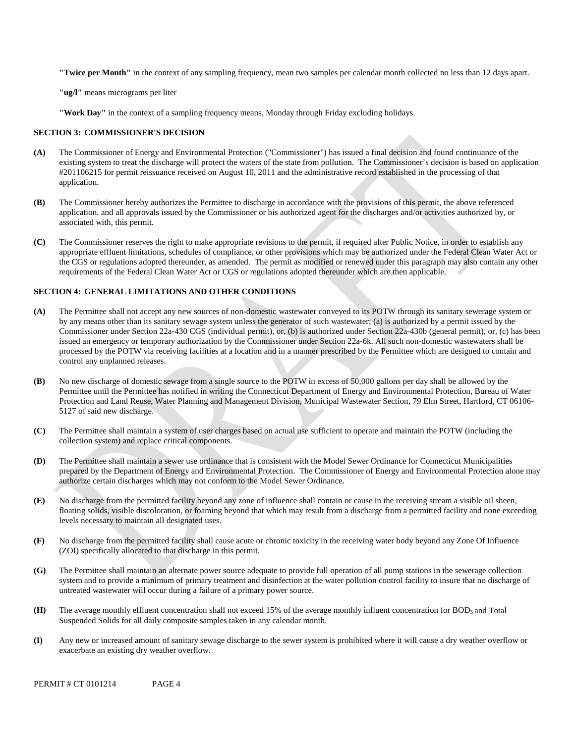**"Twice per Month"** in the context of any sampling frequency, mean two samples per calendar month collected no less than 12 days apart.

**"ug/l"** means micrograms per liter

**"Work Day"** in the context of a sampling frequency means, Monday through Friday excluding holidays.

#### **SECTION 3: COMMISSIONER'S DECISION**

- **(A)** The Commissioner of Energy and Environmental Protection ("Commissioner") has issued a final decision and found continuance of the existing system to treat the discharge will protect the waters of the state from pollution. The Commissioner's decision is based on application #201106215 for permit reissuance received on August 10, 2011 and the administrative record established in the processing of that application.
- The Commissioner hereby authorizes the Permittee to discharge in accordance with the provisions of this permit, the above referenced **(B)** application, and all approvals issued by the Commissioner or his authorized agent for the discharges and/or activities authorized by, or associated with, this permit.
- **(C)** The Commissioner reserves the right to make appropriate revisions to the permit, if required after Public Notice, in order to establish any appropriate effluent limitations, schedules of compliance, or other provisions which may be authorized under the Federal Clean Water Act or the CGS or regulations adopted thereunder, as amended. The permit as modified or renewed under this paragraph may also contain any other requirements of the Federal Clean Water Act or CGS or regulations adopted thereunder which are then applicable.

#### **SECTION 4: GENERAL LIMITATIONS AND OTHER CONDITIONS**

- **(A)** The Permittee shall not accept any new sources of non-domestic wastewater conveyed to its POTW through its sanitary sewerage system or by any means other than its sanitary sewage system unless the generator of such wastewater; (a) is authorized by a permit issued by the Commissioner under Section 22a-430 CGS (individual permit), or, (b) is authorized under Section 22a-430b (general permit), or, (c) has been issued an emergency or temporary authorization by the Commissioner under Section 22a-6k. All such non-domestic wastewaters shall be processed by the POTW via receiving facilities at a location and in a manner prescribed by the Permittee which are designed to contain and control any unplanned releases.
- No new discharge of domestic sewage from a single source to the POTW in excess of 50,000 gallons per day shall be allowed by the **(B)** Permittee until the Permittee has notified in writing the Connecticut Department of Energy and Environmental Protection, Bureau of Water Protection and Land Reuse, Water Planning and Management Division, Municipal Wastewater Section, 79 Elm Street, Hartford, CT 06106 5127 of said new discharge.
- **(C)** The Permittee shall maintain a system of user charges based on actual use sufficient to operate and maintain the POTW (including the collection system) and replace critical components.
- **(D)** The Permittee shall maintain a sewer use ordinance that is consistent with the Model Sewer Ordinance for Connecticut Municipalities prepared by the Department of Energy and Environmental Protection. The Commissioner of Energy and Environmental Protection alone may authorize certain discharges which may not conform to the Model Sewer Ordinance.
- **(E)** No discharge from the permitted facility beyond any zone of influence shall contain or cause in the receiving stream a visible oil sheen, floating solids, visible discoloration, or foaming beyond that which may result from a discharge from a permitted facility and none exceeding levels necessary to maintain all designated uses.
- **(F)**  No discharge from the permitted facility shall cause acute or chronic toxicity in the receiving water body beyond any Zone Of Influence (ZOI) specifically allocated to that discharge in this permit.
- **(G)** The Permittee shall maintain an alternate power source adequate to provide full operation of all pump stations in the sewerage collection system and to provide a minimum of primary treatment and disinfection at the water pollution control facility to insure that no discharge of untreated wastewater will occur during a failure of a primary power source.
- **(H)** The average monthly effluent concentration shall not exceed 15% of the average monthly influent concentration for BOD5 and Total Suspended Solids for all daily composite samples taken in any calendar month.
- **(I)** Any new or increased amount of sanitary sewage discharge to the sewer system is prohibited where it will cause a dry weather overflow or exacerbate an existing dry weather overflow.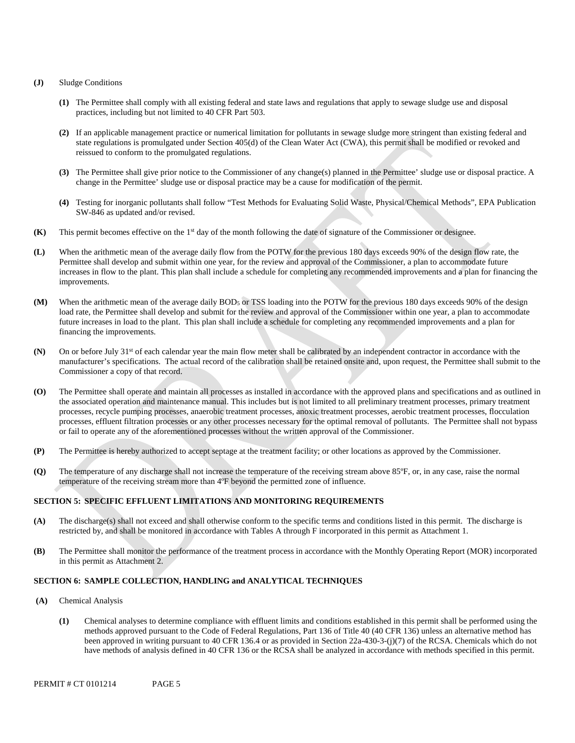#### **(J)** Sludge Conditions

- **(1)** The Permittee shall comply with all existing federal and state laws and regulations that apply to sewage sludge use and disposal practices, including but not limited to 40 CFR Part 503.
- **(2)** If an applicable management practice or numerical limitation for pollutants in sewage sludge more stringent than existing federal and state regulations is promulgated under Section 405(d) of the Clean Water Act (CWA), this permit shall be modified or revoked and reissued to conform to the promulgated regulations.
- **(3)** The Permittee shall give prior notice to the Commissioner of any change(s) planned in the Permittee' sludge use or disposal practice. A change in the Permittee' sludge use or disposal practice may be a cause for modification of the permit.
- **(4)** Testing for inorganic pollutants shall follow "Test Methods for Evaluating Solid Waste, Physical/Chemical Methods", EPA Publication SW-846 as updated and/or revised.
- **(K)** This permit becomes effective on the 1st day of the month following the date of signature of the Commissioner or designee.
- improvements. **(L)** When the arithmetic mean of the average daily flow from the POTW for the previous 180 days exceeds 90% of the design flow rate, the Permittee shall develop and submit within one year, for the review and approval of the Commissioner, a plan to accommodate future increases in flow to the plant. This plan shall include a schedule for completing any recommended improvements and a plan for financing the
- **(M)** When the arithmetic mean of the average daily BOD5 or TSS loading into the POTW for the previous 180 days exceeds 90% of the design load rate, the Permittee shall develop and submit for the review and approval of the Commissioner within one year, a plan to accommodate future increases in load to the plant. This plan shall include a schedule for completing any recommended improvements and a plan for financing the improvements.
- **(N)** On or before July 31st of each calendar year the main flow meter shall be calibrated by an independent contractor in accordance with the manufacturer's specifications. The actual record of the calibration shall be retained onsite and, upon request, the Permittee shall submit to the Commissioner a copy of that record.
- **(O)** The Permittee shall operate and maintain all processes as installed in accordance with the approved plans and specifications and as outlined in the associated operation and maintenance manual. This includes but is not limited to all preliminary treatment processes, primary treatment processes, recycle pumping processes, anaerobic treatment processes, anoxic treatment processes, aerobic treatment processes, flocculation processes, effluent filtration processes or any other processes necessary for the optimal removal of pollutants. The Permittee shall not bypass or fail to operate any of the aforementioned processes without the written approval of the Commissioner.
- **(P)** The Permittee is hereby authorized to accept septage at the treatment facility; or other locations as approved by the Commissioner.
- **(Q)** The temperature of any discharge shall not increase the temperature of the receiving stream above 85ºF, or, in any case, raise the normal temperature of the receiving stream more than 4ºF beyond the permitted zone of influence.

#### **SECTION 5: SPECIFIC EFFLUENT LIMITATIONS AND MONITORING REQUIREMENTS**

- restricted by, and shall be monitored in accordance with Tables A through F incorporated in this permit as Attachment 1. **(A)** The discharge(s) shall not exceed and shall otherwise conform to the specific terms and conditions listed in this permit. The discharge is
- in this permit as Attachment 2. **(B)** The Permittee shall monitor the performance of the treatment process in accordance with the Monthly Operating Report (MOR) incorporated

#### **SECTION 6: SAMPLE COLLECTION, HANDLING and ANALYTICAL TECHNIQUES**

- (A) **(A)** Chemical Analysis
	- **(1)** Chemical analyses to determine compliance with effluent limits and conditions established in this permit shall be performed using the methods approved pursuant to the Code of Federal Regulations, Part 136 of Title 40 (40 CFR 136) unless an alternative method has been approved in writing pursuant to 40 CFR 136.4 or as provided in Section 22a-430-3-(j)(7) of the RCSA. Chemicals which do not have methods of analysis defined in 40 CFR 136 or the RCSA shall be analyzed in accordance with methods specified in this permit.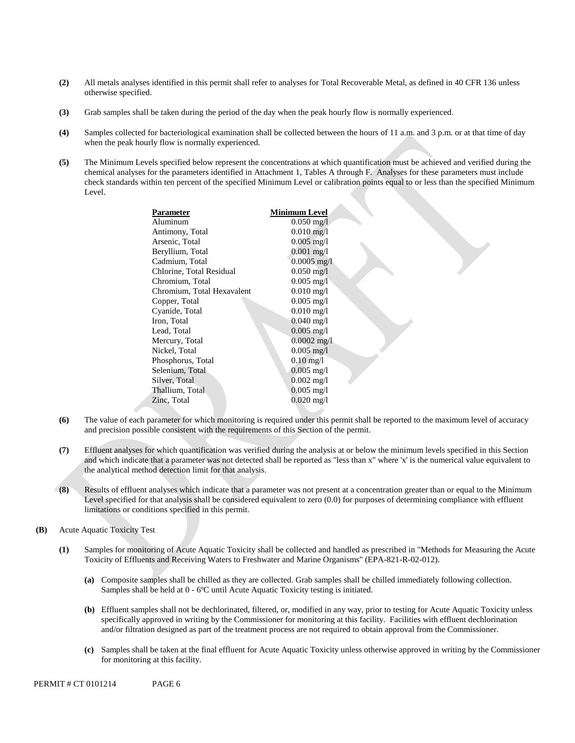- **(2)** All metals analyses identified in this permit shall refer to analyses for Total Recoverable Metal, as defined in 40 CFR 136 unless otherwise specified.
- **(3)** Grab samples shall be taken during the period of the day when the peak hourly flow is normally experienced.
- **(4)** Samples collected for bacteriological examination shall be collected between the hours of 11 a.m. and 3 p.m. or at that time of day when the peak hourly flow is normally experienced.
- **(5)** The Minimum Levels specified below represent the concentrations at which quantification must be achieved and verified during the chemical analyses for the parameters identified in Attachment 1, Tables A through F. Analyses for these parameters must include check standards within ten percent of the specified Minimum Level or calibration points equal to or less than the specified Minimum Level.

| Parameter                  | Minimum Level           |  |
|----------------------------|-------------------------|--|
| Aluminum                   | $0.050$ mg/l            |  |
| Antimony, Total            | $0.010$ mg/l            |  |
| Arsenic, Total             | $0.005$ mg/l            |  |
| Beryllium, Total           | $0.001 \text{ mg}/l$    |  |
| Cadmium, Total             | $0.0005$ mg/l           |  |
| Chlorine, Total Residual   | $0.050 \,\mathrm{mg}/l$ |  |
| Chromium, Total            | $0.005$ mg/l            |  |
| Chromium, Total Hexavalent | $0.010$ mg/l            |  |
| Copper, Total              | $0.005$ mg/l            |  |
| Cyanide, Total             | $0.010$ mg/l            |  |
| Iron, Total                | $0.040$ mg/l            |  |
| Lead, Total                | $0.005$ mg/l            |  |
| Mercury, Total             | $0.0002 \text{ mg}/l$   |  |
| Nickel, Total              | $0.005$ mg/l            |  |
| Phosphorus, Total          | $0.10$ mg/l             |  |
| Selenium, Total            | $0.005 \text{ mg/l}$    |  |
| Silver, Total              | $0.002$ mg/l            |  |
| Thallium, Total            | $0.005$ mg/l            |  |
| Zinc, Total                | $0.020 \text{ mg/l}$    |  |
|                            |                         |  |

- **(6)** The value of each parameter for which monitoring is required under this permit shall be reported to the maximum level of accuracy and precision possible consistent with the requirements of this Section of the permit.
- **(7)** Effluent analyses for which quantification was verified during the analysis at or below the minimum levels specified in this Section and which indicate that a parameter was not detected shall be reported as "less than x" where 'x' is the numerical value equivalent to the analytical method detection limit for that analysis.
- **(8)** Results of effluent analyses which indicate that a parameter was not present at a concentration greater than or equal to the Minimum Level specified for that analysis shall be considered equivalent to zero (0.0) for purposes of determining compliance with effluent limitations or conditions specified in this permit.
- **(B)** Acute Aquatic Toxicity Test
	- **(1)** Samples for monitoring of Acute Aquatic Toxicity shall be collected and handled as prescribed in "Methods for Measuring the Acute Toxicity of Effluents and Receiving Waters to Freshwater and Marine Organisms" (EPA-821-R-02-012).
		- **(a)** Composite samples shall be chilled as they are collected. Grab samples shall be chilled immediately following collection. Samples shall be held at 0 - 6ºC until Acute Aquatic Toxicity testing is initiated.
		- **(b)** Effluent samples shall not be dechlorinated, filtered, or, modified in any way, prior to testing for Acute Aquatic Toxicity unless specifically approved in writing by the Commissioner for monitoring at this facility. Facilities with effluent dechlorination and/or filtration designed as part of the treatment process are not required to obtain approval from the Commissioner.
		- **(c)** Samples shall be taken at the final effluent for Acute Aquatic Toxicity unless otherwise approved in writing by the Commissioner for monitoring at this facility.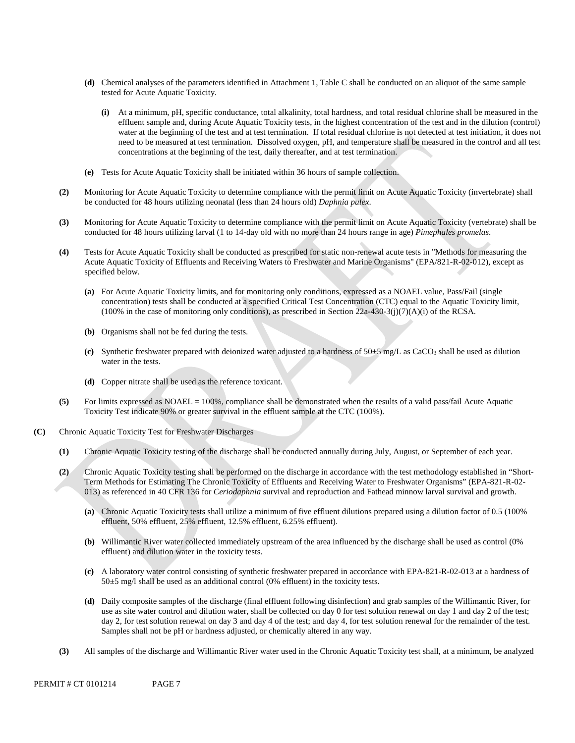- **(d)** Chemical analyses of the parameters identified in Attachment 1, Table C shall be conducted on an aliquot of the same sample tested for Acute Aquatic Toxicity.
	- **(i)** At a minimum, pH, specific conductance, total alkalinity, total hardness, and total residual chlorine shall be measured in the effluent sample and, during Acute Aquatic Toxicity tests, in the highest concentration of the test and in the dilution (control) water at the beginning of the test and at test termination. If total residual chlorine is not detected at test initiation, it does not need to be measured at test termination. Dissolved oxygen, pH, and temperature shall be measured in the control and all test concentrations at the beginning of the test, daily thereafter, and at test termination.
- **(e)** Tests for Acute Aquatic Toxicity shall be initiated within 36 hours of sample collection.
- **(2)** Monitoring for Acute Aquatic Toxicity to determine compliance with the permit limit on Acute Aquatic Toxicity (invertebrate) shall be conducted for 48 hours utilizing neonatal (less than 24 hours old) *Daphnia pulex*.
- **(3)** Monitoring for Acute Aquatic Toxicity to determine compliance with the permit limit on Acute Aquatic Toxicity (vertebrate) shall be conducted for 48 hours utilizing larval (1 to 14-day old with no more than 24 hours range in age) *Pimephales promelas*.
- **(4)** Tests for Acute Aquatic Toxicity shall be conducted as prescribed for static non-renewal acute tests in "Methods for measuring the Acute Aquatic Toxicity of Effluents and Receiving Waters to Freshwater and Marine Organisms" (EPA/821-R-02-012), except as specified below.
	- **(a)** For Acute Aquatic Toxicity limits, and for monitoring only conditions, expressed as a NOAEL value, Pass/Fail (single concentration) tests shall be conducted at a specified Critical Test Concentration (CTC) equal to the Aquatic Toxicity limit,  $(100\%$  in the case of monitoring only conditions), as prescribed in Section 22a-430-3(j)(7)(A)(i) of the RCSA.
	- **(b)** Organisms shall not be fed during the tests.
	- **(c)** Synthetic freshwater prepared with deionized water adjusted to a hardness of 50±5 mg/L as CaCO3 shall be used as dilution water in the tests.
	- **(d)** Copper nitrate shall be used as the reference toxicant.
- **(5)** For limits expressed as NOAEL = 100%, compliance shall be demonstrated when the results of a valid pass/fail Acute Aquatic Toxicity Test indicate 90% or greater survival in the effluent sample at the CTC (100%).
- **(C)** Chronic Aquatic Toxicity Test for Freshwater Discharges
	- **(1)** Chronic Aquatic Toxicity testing of the discharge shall be conducted annually during July, August, or September of each year.
	- **(2)** Chronic Aquatic Toxicity testing shall be performed on the discharge in accordance with the test methodology established in "Short-Term Methods for Estimating The Chronic Toxicity of Effluents and Receiving Water to Freshwater Organisms" (EPA-821-R-02 013) as referenced in 40 CFR 136 for *Ceriodaphnia* survival and reproduction and Fathead minnow larval survival and growth.
		- **(a)** Chronic Aquatic Toxicity tests shall utilize a minimum of five effluent dilutions prepared using a dilution factor of 0.5 (100% effluent, 50% effluent, 25% effluent, 12.5% effluent, 6.25% effluent).
		- **(b)** Willimantic River water collected immediately upstream of the area influenced by the discharge shall be used as control (0% effluent) and dilution water in the toxicity tests.
		- **(c)** A laboratory water control consisting of synthetic freshwater prepared in accordance with EPA-821-R-02-013 at a hardness of  $50±5$  mg/l shall be used as an additional control (0% effluent) in the toxicity tests.
		- day 2, for test solution renewal on day 3 and day 4 of the test; and day 4, for test solution renewal for the remainder of the test. **(d)** Daily composite samples of the discharge (final effluent following disinfection) and grab samples of the Willimantic River, for use as site water control and dilution water, shall be collected on day 0 for test solution renewal on day 1 and day 2 of the test; Samples shall not be pH or hardness adjusted, or chemically altered in any way.
	- **(3)** All samples of the discharge and Willimantic River water used in the Chronic Aquatic Toxicity test shall, at a minimum, be analyzed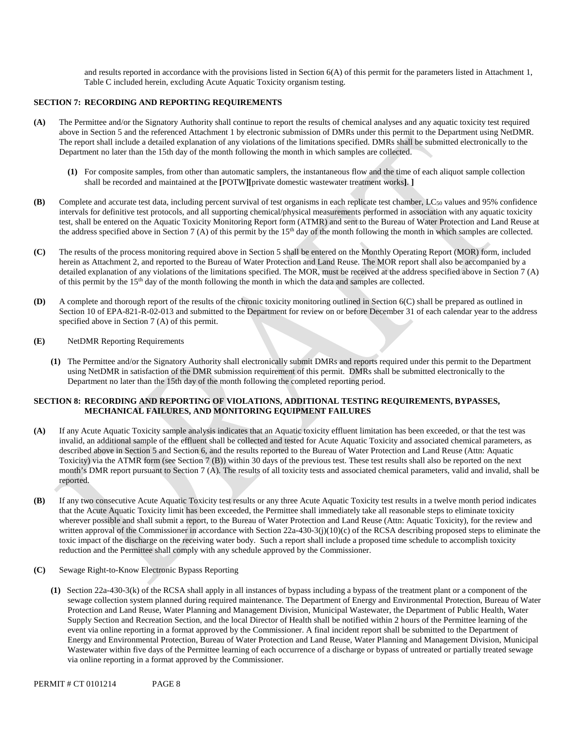and results reported in accordance with the provisions listed in Section 6(A) of this permit for the parameters listed in Attachment 1, Table C included herein, excluding Acute Aquatic Toxicity organism testing.

# **SECTION 7: RECORDING AND REPORTING REQUIREMENTS**

- **(A)** The Permittee and/or the Signatory Authority shall continue to report the results of chemical analyses and any aquatic toxicity test required above in Section 5 and the referenced Attachment 1 by electronic submission of DMRs under this permit to the Department using NetDMR. The report shall include a detailed explanation of any violations of the limitations specified. DMRs shall be submitted electronically to the Department no later than the 15th day of the month following the month in which samples are collected.
	- **(1)** For composite samples, from other than automatic samplers, the instantaneous flow and the time of each aliquot sample collection shall be recorded and maintained at the **[**POTW**][**private domestic wastewater treatment works**]**. **]**
- **(B)** Complete and accurate test data, including percent survival of test organisms in each replicate test chamber, LC<sub>50</sub> values and 95% confidence intervals for definitive test protocols, and all supporting chemical/physical measurements performed in association with any aquatic toxicity test, shall be entered on the Aquatic Toxicity Monitoring Report form (ATMR) and sent to the Bureau of Water Protection and Land Reuse at the address specified above in Section 7 (A) of this permit by the  $15<sup>th</sup>$  day of the month following the month in which samples are collected.
- **(C)** The results of the process monitoring required above in Section 5 shall be entered on the Monthly Operating Report (MOR) form, included herein as Attachment 2, and reported to the Bureau of Water Protection and Land Reuse. The MOR report shall also be accompanied by a detailed explanation of any violations of the limitations specified. The MOR, must be received at the address specified above in Section 7 (A) of this permit by the 15th day of the month following the month in which the data and samples are collected.
- **(D)** A complete and thorough report of the results of the chronic toxicity monitoring outlined in Section 6(C) shall be prepared as outlined in Section 10 of EPA-821-R-02-013 and submitted to the Department for review on or before December 31 of each calendar year to the address specified above in Section 7 (A) of this permit.
- **(E)** NetDMR Reporting Requirements
	- Department no later than the 15th day of the month following the completed reporting period. **(1)** The Permittee and/or the Signatory Authority shall electronically submit DMRs and reports required under this permit to the Department using NetDMR in satisfaction of the DMR submission requirement of this permit. DMRs shall be submitted electronically to the

# **SECTION 8: RECORDING AND REPORTING OF VIOLATIONS, ADDITIONAL TESTING REQUIREMENTS, BYPASSES, MECHANICAL FAILURES, AND MONITORING EQUIPMENT FAILURES**

- invalid, an additional sample of the effluent shall be collected and tested for Acute Aquatic Toxicity and associated chemical parameters, as **(A)** If any Acute Aquatic Toxicity sample analysis indicates that an Aquatic toxicity effluent limitation has been exceeded, or that the test was described above in Section 5 and Section 6, and the results reported to the Bureau of Water Protection and Land Reuse (Attn: Aquatic Toxicity) via the ATMR form (see Section 7 (B)) within 30 days of the previous test. These test results shall also be reported on the next month's DMR report pursuant to Section 7 (A). The results of all toxicity tests and associated chemical parameters, valid and invalid, shall be reported.
- **(B)** If any two consecutive Acute Aquatic Toxicity test results or any three Acute Aquatic Toxicity test results in a twelve month period indicates that the Acute Aquatic Toxicity limit has been exceeded, the Permittee shall immediately take all reasonable steps to eliminate toxicity wherever possible and shall submit a report, to the Bureau of Water Protection and Land Reuse (Attn: Aquatic Toxicity), for the review and written approval of the Commissioner in accordance with Section 22a-430-3(j)(10)(c) of the RCSA describing proposed steps to eliminate the toxic impact of the discharge on the receiving water body. Such a report shall include a proposed time schedule to accomplish toxicity reduction and the Permittee shall comply with any schedule approved by the Commissioner.
- **(C)** Sewage Right-to-Know Electronic Bypass Reporting
	- **(1)** Section 22a-430-3(k) of the RCSA shall apply in all instances of bypass including a bypass of the treatment plant or a component of the sewage collection system planned during required maintenance. The Department of Energy and Environmental Protection, Bureau of Water Protection and Land Reuse, Water Planning and Management Division, Municipal Wastewater, the Department of Public Health, Water Supply Section and Recreation Section, and the local Director of Health shall be notified within 2 hours of the Permittee learning of the event via online reporting in a format approved by the Commissioner. A final incident report shall be submitted to the Department of Energy and Environmental Protection, Bureau of Water Protection and Land Reuse, Water Planning and Management Division, Municipal Wastewater within five days of the Permittee learning of each occurrence of a discharge or bypass of untreated or partially treated sewage via online reporting in a format approved by the Commissioner.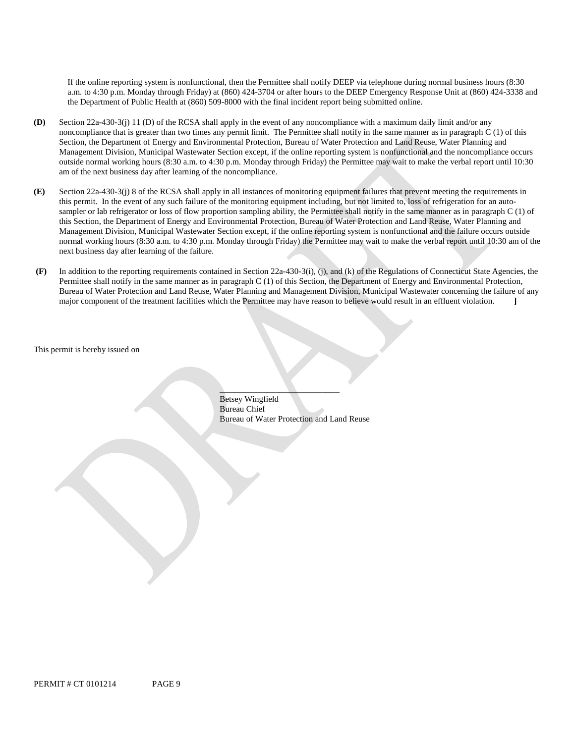If the online reporting system is nonfunctional, then the Permittee shall notify DEEP via telephone during normal business hours (8:30 a.m. to 4:30 p.m. Monday through Friday) at (860) 424-3704 or after hours to the DEEP Emergency Response Unit at (860) 424-3338 and the Department of Public Health at (860) 509-8000 with the final incident report being submitted online.

- **(D)** Section 22a-430-3(j) 11 (D) of the RCSA shall apply in the event of any noncompliance with a maximum daily limit and/or any noncompliance that is greater than two times any permit limit. The Permittee shall notify in the same manner as in paragraph C (1) of this Section, the Department of Energy and Environmental Protection, Bureau of Water Protection and Land Reuse, Water Planning and Management Division, Municipal Wastewater Section except, if the online reporting system is nonfunctional and the noncompliance occurs outside normal working hours (8:30 a.m. to 4:30 p.m. Monday through Friday) the Permittee may wait to make the verbal report until 10:30 am of the next business day after learning of the noncompliance.
- **(E)** Section 22a-430-3(j) 8 of the RCSA shall apply in all instances of monitoring equipment failures that prevent meeting the requirements in this permit. In the event of any such failure of the monitoring equipment including, but not limited to, loss of refrigeration for an autosampler or lab refrigerator or loss of flow proportion sampling ability, the Permittee shall notify in the same manner as in paragraph C (1) of this Section, the Department of Energy and Environmental Protection, Bureau of Water Protection and Land Reuse, Water Planning and Management Division, Municipal Wastewater Section except, if the online reporting system is nonfunctional and the failure occurs outside normal working hours (8:30 a.m. to 4:30 p.m. Monday through Friday) the Permittee may wait to make the verbal report until 10:30 am of the next business day after learning of the failure.
- major component of the treatment facilities which the Permittee may have reason to believe would result in an effluent violation. **](F)** In addition to the reporting requirements contained in Section 22a-430-3(i), (j), and (k) of the Regulations of Connecticut State Agencies, the Permittee shall notify in the same manner as in paragraph C (1) of this Section, the Department of Energy and Environmental Protection, Bureau of Water Protection and Land Reuse, Water Planning and Management Division, Municipal Wastewater concerning the failure of any

This permit is hereby issued on

Betsey Wingfield Bureau Chief Bureau of Water Protection and Land Reuse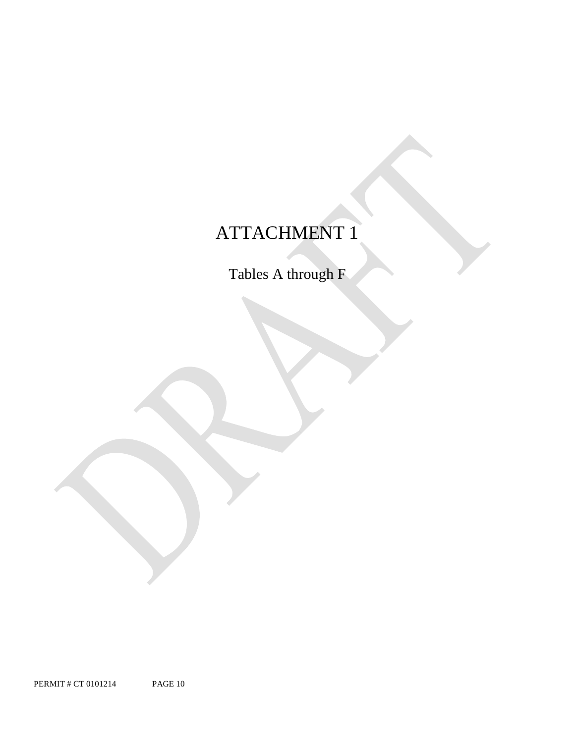# ATTACHMENT 1

Tables A through F

PERMIT # CT 0101214 PAGE 10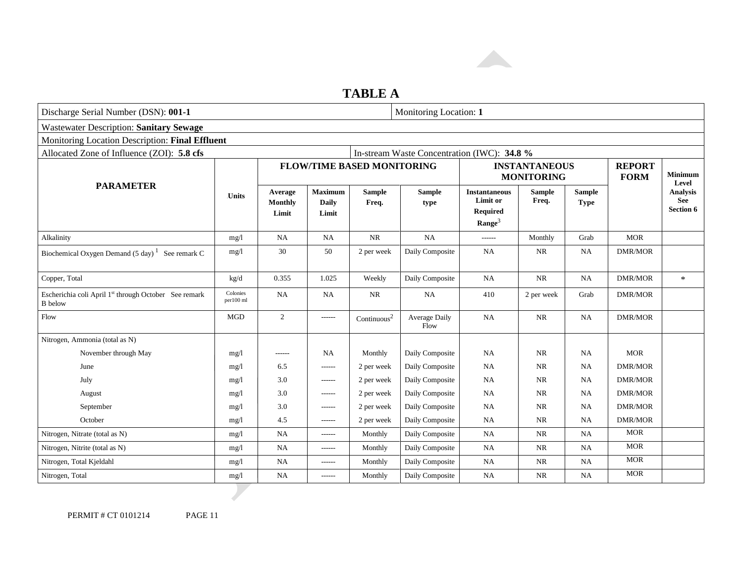

# **TABLE A**

| Discharge Serial Number (DSN): 001-1                                                      |                       | Monitoring Location: 1             |                                         |                                   |                       |                                                                           |                                           |                              |                              |                                     |
|-------------------------------------------------------------------------------------------|-----------------------|------------------------------------|-----------------------------------------|-----------------------------------|-----------------------|---------------------------------------------------------------------------|-------------------------------------------|------------------------------|------------------------------|-------------------------------------|
| <b>Wastewater Description: Sanitary Sewage</b>                                            |                       |                                    |                                         |                                   |                       |                                                                           |                                           |                              |                              |                                     |
| Monitoring Location Description: Final Effluent                                           |                       |                                    |                                         |                                   |                       |                                                                           |                                           |                              |                              |                                     |
| Allocated Zone of Influence (ZOI): 5.8 cfs<br>In-stream Waste Concentration (IWC): 34.8 % |                       |                                    |                                         |                                   |                       |                                                                           |                                           |                              |                              |                                     |
|                                                                                           |                       |                                    |                                         | <b>FLOW/TIME BASED MONITORING</b> |                       |                                                                           | <b>INSTANTANEOUS</b><br><b>MONITORING</b> |                              | <b>REPORT</b><br><b>FORM</b> | <b>Minimum</b><br>Level             |
| <b>PARAMETER</b>                                                                          | <b>Units</b>          | Average<br><b>Monthly</b><br>Limit | <b>Maximum</b><br><b>Daily</b><br>Limit | <b>Sample</b><br>Freq.            | <b>Sample</b><br>type | <b>Instantaneous</b><br>Limit or<br><b>Required</b><br>$\textbf{Range}^3$ | <b>Sample</b><br>Freq.                    | <b>Sample</b><br><b>Type</b> |                              | <b>Analysis</b><br>See<br>Section 6 |
| Alkalinity                                                                                | mg/l                  | <b>NA</b>                          | <b>NA</b>                               | $\rm NR$                          | NA                    | $-----$                                                                   | Monthly                                   | Grab                         | <b>MOR</b>                   |                                     |
| Biochemical Oxygen Demand $(5 \text{ day})^1$ See remark C                                | mg/1                  | 30                                 | 50                                      | 2 per week                        | Daily Composite       | <b>NA</b>                                                                 | <b>NR</b>                                 | <b>NA</b>                    | <b>DMR/MOR</b>               |                                     |
| Copper, Total                                                                             | kg/d                  | 0.355                              | 1.025                                   | Weekly                            | Daily Composite       | <b>NA</b>                                                                 | <b>NR</b>                                 | NA                           | <b>DMR/MOR</b>               | $\ast$                              |
| Escherichia coli April 1st through October See remark<br><b>B</b> below                   | Colonies<br>per100 ml | <b>NA</b>                          | NA                                      | <b>NR</b>                         | <b>NA</b>             | 410                                                                       | 2 per week                                | Grab                         | <b>DMR/MOR</b>               |                                     |
| Flow                                                                                      | <b>MGD</b>            | 2                                  | ------                                  | Continuous <sup>2</sup>           | Average Daily<br>Flow | NA                                                                        | <b>NR</b>                                 | NA                           | <b>DMR/MOR</b>               |                                     |
| Nitrogen, Ammonia (total as N)                                                            |                       |                                    |                                         |                                   |                       |                                                                           |                                           |                              |                              |                                     |
| November through May                                                                      | mg/1                  | ------                             | NA                                      | Monthly                           | Daily Composite       | NA                                                                        | <b>NR</b>                                 | <b>NA</b>                    | <b>MOR</b>                   |                                     |
| June                                                                                      | mg/1                  | 6.5                                | $- - - - - -$                           | 2 per week                        | Daily Composite       | <b>NA</b>                                                                 | NR                                        | <b>NA</b>                    | <b>DMR/MOR</b>               |                                     |
| July                                                                                      | mg/1                  | 3.0                                | $-----$                                 | 2 per week                        | Daily Composite       | NA                                                                        | <b>NR</b>                                 | <b>NA</b>                    | <b>DMR/MOR</b>               |                                     |
| August                                                                                    | mg/l                  | 3.0                                | $- - - - - -$                           | 2 per week                        | Daily Composite       | NA                                                                        | <b>NR</b>                                 | <b>NA</b>                    | <b>DMR/MOR</b>               |                                     |
| September                                                                                 | mg/1                  | 3.0                                | ------                                  | 2 per week                        | Daily Composite       | <b>NA</b>                                                                 | <b>NR</b>                                 | <b>NA</b>                    | <b>DMR/MOR</b>               |                                     |
| October                                                                                   | mg/1                  | 4.5                                | $- - - - - -$                           | 2 per week                        | Daily Composite       | NA                                                                        | <b>NR</b>                                 | <b>NA</b>                    | <b>DMR/MOR</b>               |                                     |
| Nitrogen, Nitrate (total as N)                                                            | mg/l                  | <b>NA</b>                          | $- - - - - -$                           | Monthly                           | Daily Composite       | <b>NA</b>                                                                 | NR                                        | <b>NA</b>                    | <b>MOR</b>                   |                                     |
| Nitrogen, Nitrite (total as N)                                                            | mg/l                  | NA                                 | ------                                  | Monthly                           | Daily Composite       | NA                                                                        | <b>NR</b>                                 | <b>NA</b>                    | <b>MOR</b>                   |                                     |
| Nitrogen, Total Kjeldahl                                                                  | mg/1                  | NA                                 | $- - - - - -$                           | Monthly                           | Daily Composite       | NA                                                                        | <b>NR</b>                                 | NA                           | <b>MOR</b>                   |                                     |
| Nitrogen, Total                                                                           | mg/l                  | NA                                 | $------$                                | Monthly                           | Daily Composite       | NA                                                                        | <b>NR</b>                                 | <b>NA</b>                    | <b>MOR</b>                   |                                     |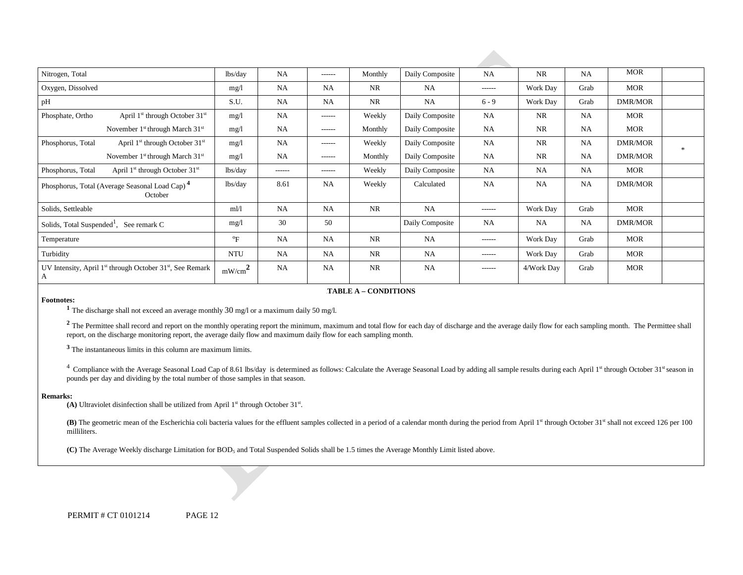| Nitrogen, Total                                                             | lbs/day                   | <b>NA</b>     | ------    | Monthly   | Daily Composite | <b>NA</b>     | NR         | NA   | <b>MOR</b>     |               |
|-----------------------------------------------------------------------------|---------------------------|---------------|-----------|-----------|-----------------|---------------|------------|------|----------------|---------------|
| Oxygen, Dissolved                                                           | mg/1                      | NA            | <b>NA</b> | <b>NR</b> | <b>NA</b>       | $- - - - - -$ | Work Day   | Grab | MOR            |               |
| pH                                                                          | S.U.                      | <b>NA</b>     | <b>NA</b> | <b>NR</b> | <b>NA</b>       | $6 - 9$       | Work Day   | Grab | DMR/MOR        |               |
| April $1st$ through October $31st$<br>Phosphate, Ortho                      | mg/1                      | NA            | ------    | Weekly    | Daily Composite | <b>NA</b>     | NR         | NA   | MOR            |               |
| November 1 <sup>st</sup> through March 31 <sup>st</sup>                     | mg/1                      | <b>NA</b>     | ------    | Monthly   | Daily Composite | <b>NA</b>     | <b>NR</b>  | NA   | MOR            |               |
| April $1st$ through October $31st$<br>Phosphorus, Total                     | mg/1                      | <b>NA</b>     | ------    | Weekly    | Daily Composite | <b>NA</b>     | <b>NR</b>  | NA   | DMR/MOR        | $\mathcal{H}$ |
| November 1 <sup>st</sup> through March 31 <sup>st</sup>                     | mg/1                      | <b>NA</b>     | ------    | Monthly   | Daily Composite | <b>NA</b>     | <b>NR</b>  | NA   | DMR/MOR        |               |
| April 1 <sup>st</sup> through October 31 <sup>st</sup><br>Phosphorus, Total | lbs/day                   | $- - - - - -$ | ------    | Weekly    | Daily Composite | <b>NA</b>     | <b>NA</b>  | NA   | MOR            |               |
| Phosphorus, Total (Average Seasonal Load Cap) <sup>4</sup><br>October       | lbs/day                   | 8.61          | <b>NA</b> | Weekly    | Calculated      | <b>NA</b>     | <b>NA</b>  | NA   | DMR/MOR        |               |
| Solids, Settleable                                                          | ml/1                      | NA            | <b>NA</b> | <b>NR</b> | NA              | ------        | Work Day   | Grab | MOR            |               |
| Solids, Total Suspended <sup>1</sup> , See remark C                         | mg/1                      | 30            | 50        |           | Daily Composite | <b>NA</b>     | <b>NA</b>  | NA   | <b>DMR/MOR</b> |               |
| Temperature                                                                 | $\mathrm{P}_{\mathrm{F}}$ | <b>NA</b>     | <b>NA</b> | <b>NR</b> | <b>NA</b>       | ------        | Work Day   | Grab | MOR            |               |
| Turbidity                                                                   | <b>NTU</b>                | <b>NA</b>     | <b>NA</b> | <b>NR</b> | <b>NA</b>       | ------        | Work Day   | Grab | MOR            |               |
| UV Intensity, April $1st$ through October 31 $st$ , See Remark<br>A         | mW/cm <sup>2</sup>        | NA            | <b>NA</b> | <b>NR</b> | NA              | ------        | 4/Work Day | Grab | MOR            |               |

#### **FABLE A – CONDITIONS**

**Footnotes: 1** The discharge shall not exceed an average monthly 30 mg/l or a maximum daily 50 mg/l.

<sup>2</sup> The Permittee shall record and report on the monthly operating report the minimum, maximum and total flow for each day of discharge and the average daily flow for each sampling month. The Permittee shall report, on the discharge monitoring report, the average daily flow and maximum daily flow for each sampling month.

**<sup>3</sup>**The instantaneous limits in this column are maximum limits.

 pounds per day and dividing by the total number of those samples in that season. <sup>4</sup> Compliance with the Average Seasonal Load Cap of 8.61 lbs/day is determined as follows: Calculate the Average Seasonal Load by adding all sample results during each April 1st through October 31st season in

#### **Remarks:**

(A) Ultraviolet disinfection shall be utilized from April 1<sup>st</sup> through October 31<sup>st</sup>.

**(B)** The geometric mean of the Escherichia coli bacteria values for the effluent samples collected in a period of a calendar month during the period from April 1<sup>st</sup> through October 31st shall not exceed 126 per 100 milliliters.

**(C)** The Average Weekly discharge Limitation for BOD5 and Total Suspended Solids shall be 1.5 times the Average Monthly Limit listed above.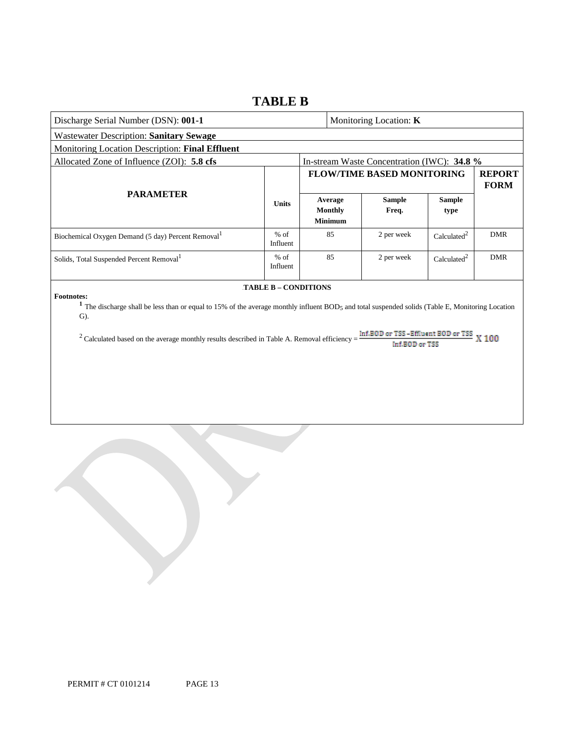# **TABLE B**

| Discharge Serial Number (DSN): 001-1                                                                                                                                                                                                                                                                                                                                                                                            |                    |  |                                             | Monitoring Location: <b>K</b>               |                         |                              |
|---------------------------------------------------------------------------------------------------------------------------------------------------------------------------------------------------------------------------------------------------------------------------------------------------------------------------------------------------------------------------------------------------------------------------------|--------------------|--|---------------------------------------------|---------------------------------------------|-------------------------|------------------------------|
| <b>Wastewater Description: Sanitary Sewage</b>                                                                                                                                                                                                                                                                                                                                                                                  |                    |  |                                             |                                             |                         |                              |
| Monitoring Location Description: Final Effluent                                                                                                                                                                                                                                                                                                                                                                                 |                    |  |                                             |                                             |                         |                              |
| Allocated Zone of Influence (ZOI): 5.8 cfs                                                                                                                                                                                                                                                                                                                                                                                      |                    |  |                                             | In-stream Waste Concentration (IWC): 34.8 % |                         |                              |
|                                                                                                                                                                                                                                                                                                                                                                                                                                 |                    |  |                                             | <b>FLOW/TIME BASED MONITORING</b>           |                         | <b>REPORT</b><br><b>FORM</b> |
| <b>PARAMETER</b>                                                                                                                                                                                                                                                                                                                                                                                                                | <b>Units</b>       |  | Average<br><b>Monthly</b><br><b>Minimum</b> | <b>Sample</b><br>Freq.                      | <b>Sample</b><br>type   |                              |
| Biochemical Oxygen Demand (5 day) Percent Removal <sup>1</sup>                                                                                                                                                                                                                                                                                                                                                                  | $%$ of<br>Influent |  | 85                                          | 2 per week                                  | Calculated <sup>2</sup> | <b>DMR</b>                   |
| Solids, Total Suspended Percent Removal <sup>1</sup>                                                                                                                                                                                                                                                                                                                                                                            | $%$ of<br>Influent |  | 85                                          | 2 per week                                  | Calculated <sup>2</sup> | <b>DMR</b>                   |
| TABLE B - CONDITIONS<br><b>Footnotes:</b><br><sup>1</sup> The discharge shall be less than or equal to 15% of the average monthly influent BOD <sub>5</sub> and total suspended solids (Table E, Monitoring Location<br>$\mathbf{G}$ ).<br>Inf.BOD or TSS-Effluent BOD or TSS<br>X <sub>100</sub><br><sup>2</sup> Calculated based on the average monthly results described in Table A. Removal efficiency =<br>Inf.BBIb.or.TSS |                    |  |                                             |                                             |                         |                              |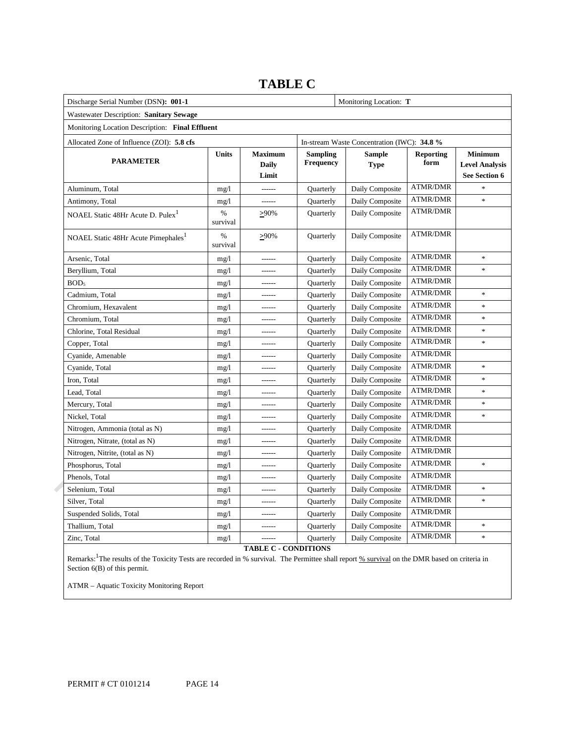| Discharge Serial Number (DSN): 001-1            |               |                                  |                              |                                             |                          |                                                          |
|-------------------------------------------------|---------------|----------------------------------|------------------------------|---------------------------------------------|--------------------------|----------------------------------------------------------|
| Wastewater Description: Sanitary Sewage         |               |                                  |                              |                                             |                          |                                                          |
| Monitoring Location Description: Final Effluent |               |                                  |                              |                                             |                          |                                                          |
| Allocated Zone of Influence (ZOI): 5.8 cfs      |               |                                  |                              | In-stream Waste Concentration (IWC): 34.8 % |                          |                                                          |
| <b>PARAMETER</b>                                | <b>Units</b>  | <b>Maximum</b><br>Daily<br>Limit | <b>Sampling</b><br>Frequency | <b>Sample</b><br><b>Type</b>                | <b>Reporting</b><br>form | <b>Minimum</b><br><b>Level Analysis</b><br>See Section 6 |
| Aluminum, Total                                 | mg/1          | $1 - 1 - 1 - 1$                  | Quarterly                    | Daily Composite                             | <b>ATMR/DMR</b>          | $\ast$                                                   |
| Antimony, Total                                 | mg/1          | ------                           | Quarterly                    | Daily Composite                             | <b>ATMR/DMR</b>          | $\ast$                                                   |
| NOAEL Static 48Hr Acute D. Pulex <sup>1</sup>   | %<br>survival | $>90\%$                          | Quarterly                    | Daily Composite                             | ATMR/DMR                 |                                                          |
| NOAEL Static 48Hr Acute Pimephales <sup>1</sup> | %<br>survival | $>90\%$                          | Quarterly                    | Daily Composite                             | <b>ATMR/DMR</b>          |                                                          |
| Arsenic, Total                                  | mg/1          | $1 - 1 - 1 - 1$                  | Quarterly                    | Daily Composite                             | <b>ATMR/DMR</b>          | $\ast$                                                   |
| Beryllium, Total                                | mg/1          | $- - - - - -$                    | Quarterly                    | Daily Composite                             | <b>ATMR/DMR</b>          | $\ast$                                                   |
| BOD <sub>5</sub>                                | mg/1          | ------                           | Quarterly                    | Daily Composite                             | <b>ATMR/DMR</b>          |                                                          |
| Cadmium, Total                                  | mg/1          | $- - - - - -$                    | Quarterly                    | Daily Composite                             | <b>ATMR/DMR</b>          | $\ast$                                                   |
| Chromium, Hexavalent                            | mg/1          |                                  | Quarterly                    | Daily Composite                             | <b>ATMR/DMR</b>          | $\ast$                                                   |
| Chromium, Total                                 | mg/1          | $- - - - - -$                    | Quarterly                    | Daily Composite                             | <b>ATMR/DMR</b>          | $\ast$                                                   |
| Chlorine, Total Residual                        | mg/1          |                                  | Quarterly                    | Daily Composite                             | <b>ATMR/DMR</b>          | $\ast$                                                   |
| Copper, Total                                   | mg/1          | $- - - - - -$                    | Quarterly                    | Daily Composite                             | <b>ATMR/DMR</b>          | $\ast$                                                   |
| Cyanide, Amenable                               | mg/1          | $- - - - - -$                    | Quarterly                    | Daily Composite                             | <b>ATMR/DMR</b>          |                                                          |
| Cyanide, Total                                  | mg/1          | $- - - - - -$                    | Quarterly                    | Daily Composite                             | <b>ATMR/DMR</b>          | $\ast$                                                   |
| Iron, Total                                     | mg/1          | $- - - - - -$                    | Quarterly                    | Daily Composite                             | <b>ATMR/DMR</b>          | $\ast$                                                   |
| Lead, Total                                     | mg/1          |                                  | Quarterly                    | Daily Composite                             | <b>ATMR/DMR</b>          | $\ast$                                                   |
| Mercury, Total                                  | mg/1          | $- - - - - -$                    | Quarterly                    | Daily Composite                             | <b>ATMR/DMR</b>          | $\ast$                                                   |
| Nickel, Total                                   | mg/1          |                                  | Quarterly                    | Daily Composite                             | <b>ATMR/DMR</b>          | $\ast$                                                   |
| Nitrogen, Ammonia (total as N)                  | mg/1          | $- - - - - -$                    | Quarterly                    | Daily Composite                             | <b>ATMR/DMR</b>          |                                                          |
| Nitrogen, Nitrate, (total as N)                 | mg/1          |                                  | Quarterly                    | Daily Composite                             | <b>ATMR/DMR</b>          |                                                          |
| Nitrogen, Nitrite, (total as N)                 | mg/1          | $- - - - - -$                    | Quarterly                    | Daily Composite                             | <b>ATMR/DMR</b>          |                                                          |
| Phosphorus, Total                               | mg/1          | $- - - - - -$                    | Quarterly                    | Daily Composite                             | <b>ATMR/DMR</b>          | $\ast$                                                   |
| Phenols, Total                                  | mg/1          | ------                           | Quarterly                    | Daily Composite                             | <b>ATMR/DMR</b>          |                                                          |
| Selenium, Total                                 | mg/1          | $- - - - - -$                    | Quarterly                    | Daily Composite                             | <b>ATMR/DMR</b>          | $\ast$                                                   |
| Silver, Total                                   | mg/1          |                                  | Quarterly                    | Daily Composite                             | <b>ATMR/DMR</b>          | $\ast$                                                   |
| Suspended Solids, Total                         | mg/1          | $- - - - - -$                    | Quarterly                    | Daily Composite                             | <b>ATMR/DMR</b>          |                                                          |
| Thallium, Total                                 | mg/1          |                                  | Quarterly                    | Daily Composite                             | <b>ATMR/DMR</b>          | $\ast$                                                   |
| Zinc, Total                                     | mg/1          | -------                          | Quarterly                    | Daily Composite                             | <b>ATMR/DMR</b>          | $\ast$                                                   |

# **TABLE C**

**TABLE C - CONDITIONS** 

Remarks: <sup>1</sup>The results of the Toxicity Tests are recorded in % survival. The Permittee shall report % survival on the DMR based on criteria in Section 6(B) of this permit.

ATMR – Aquatic Toxicity Monitoring Report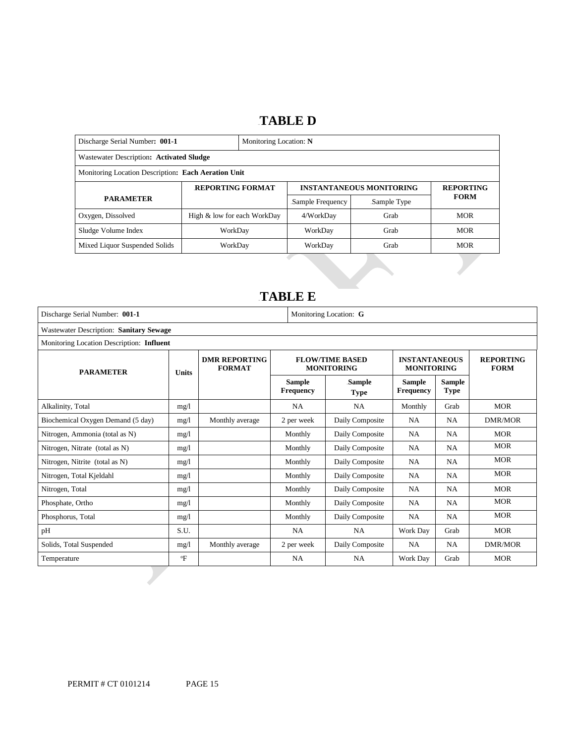# 14B**TABLE D**

| Discharge Serial Number: 001-1<br>Monitoring Location: N |                             |  |                  |                                 |                  |  |
|----------------------------------------------------------|-----------------------------|--|------------------|---------------------------------|------------------|--|
| Wastewater Description: Activated Sludge                 |                             |  |                  |                                 |                  |  |
| Monitoring Location Description: Each Aeration Unit      |                             |  |                  |                                 |                  |  |
| <b>REPORTING FORMAT</b>                                  |                             |  |                  | <b>INSTANTANEOUS MONITORING</b> | <b>REPORTING</b> |  |
| <b>PARAMETER</b>                                         |                             |  | Sample Frequency | Sample Type                     | <b>FORM</b>      |  |
| Oxygen, Dissolved                                        | High & low for each WorkDay |  | 4/WorkDav        | Grab                            | <b>MOR</b>       |  |
| Sludge Volume Index                                      | WorkDay                     |  | WorkDay          | Grab                            | <b>MOR</b>       |  |
| Mixed Liquor Suspended Solids                            | WorkDay                     |  | WorkDay          | Grab                            | <b>MOR</b>       |  |

# 15B**TABLE E**

| Discharge Serial Number: 001-1                 |              | Monitoring Location: G                |                                   |                                             |                                           |                              |                                 |
|------------------------------------------------|--------------|---------------------------------------|-----------------------------------|---------------------------------------------|-------------------------------------------|------------------------------|---------------------------------|
| <b>Wastewater Description: Sanitary Sewage</b> |              |                                       |                                   |                                             |                                           |                              |                                 |
| Monitoring Location Description: Influent      |              |                                       |                                   |                                             |                                           |                              |                                 |
| <b>PARAMETER</b>                               | <b>Units</b> | <b>DMR REPORTING</b><br><b>FORMAT</b> |                                   | <b>FLOW/TIME BASED</b><br><b>MONITORING</b> | <b>INSTANTANEOUS</b><br><b>MONITORING</b> |                              | <b>REPORTING</b><br><b>FORM</b> |
|                                                |              |                                       | <b>Sample</b><br><b>Frequency</b> | Sample<br><b>Type</b>                       | <b>Sample</b><br><b>Frequency</b>         | <b>Sample</b><br><b>Type</b> |                                 |
| Alkalinity, Total                              | mg/1         |                                       | <b>NA</b>                         | <b>NA</b>                                   | Monthly                                   | Grab                         | <b>MOR</b>                      |
| Biochemical Oxygen Demand (5 day)              | mg/1         | Monthly average                       | 2 per week                        | Daily Composite                             | <b>NA</b>                                 | <b>NA</b>                    | <b>DMR/MOR</b>                  |
| Nitrogen, Ammonia (total as N)                 | mg/1         |                                       | Monthly                           | Daily Composite                             | <b>NA</b>                                 | NA.                          | <b>MOR</b>                      |
| Nitrogen, Nitrate (total as N)                 | mg/l         |                                       | Monthly                           | Daily Composite                             | <b>NA</b>                                 | <b>NA</b>                    | <b>MOR</b>                      |
| Nitrogen, Nitrite (total as N)                 | mg/l         |                                       | Monthly                           | Daily Composite                             | <b>NA</b>                                 | <b>NA</b>                    | <b>MOR</b>                      |
| Nitrogen, Total Kjeldahl                       | mg/l         |                                       | Monthly                           | Daily Composite                             | NA                                        | NA.                          | <b>MOR</b>                      |
| Nitrogen, Total                                | mg/1         |                                       | Monthly                           | Daily Composite                             | <b>NA</b>                                 | <b>NA</b>                    | <b>MOR</b>                      |
| Phosphate, Ortho                               | mg/1         |                                       | Monthly                           | Daily Composite                             | <b>NA</b>                                 | <b>NA</b>                    | <b>MOR</b>                      |
| Phosphorus, Total                              | mg/l         |                                       | Monthly                           | Daily Composite                             | <b>NA</b>                                 | NA.                          | <b>MOR</b>                      |
| pH                                             | S.U.         |                                       | <b>NA</b>                         | <b>NA</b>                                   | Work Day                                  | Grab                         | <b>MOR</b>                      |
| Solids, Total Suspended                        | mg/1         | Monthly average                       | 2 per week                        | Daily Composite                             | <b>NA</b>                                 | <b>NA</b>                    | <b>DMR/MOR</b>                  |
| Temperature                                    | $\mathrm{P}$ |                                       | <b>NA</b>                         | <b>NA</b>                                   | Work Day                                  | Grab                         | <b>MOR</b>                      |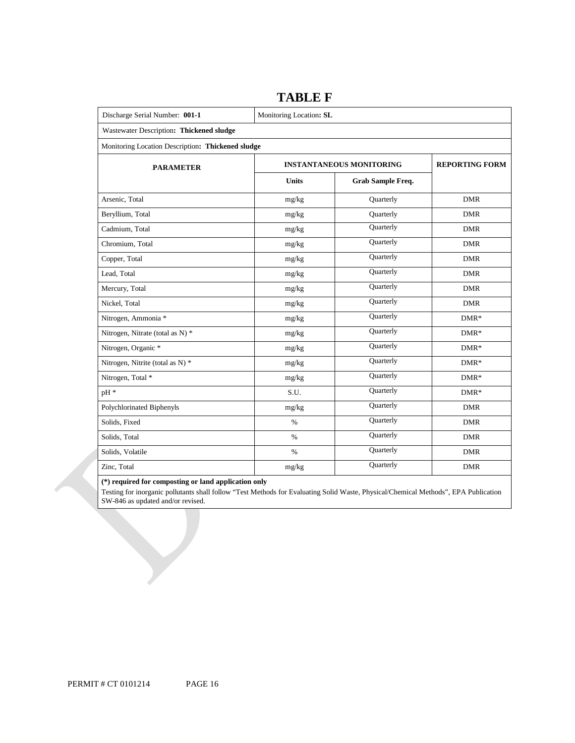| Discharge Serial Number: 001-1                    | Monitoring Location: SL |                                 |                       |  |  |  |
|---------------------------------------------------|-------------------------|---------------------------------|-----------------------|--|--|--|
| .Wastewater Description: Thickened sludge         |                         |                                 |                       |  |  |  |
| Monitoring Location Description: Thickened sludge |                         |                                 |                       |  |  |  |
| <b>PARAMETER</b>                                  |                         | <b>INSTANTANEOUS MONITORING</b> | <b>REPORTING FORM</b> |  |  |  |
|                                                   | <b>Units</b>            | <b>Grab Sample Freq.</b>        |                       |  |  |  |
| Arsenic, Total                                    | mg/kg                   | Quarterly                       | <b>DMR</b>            |  |  |  |
| Beryllium, Total                                  | mg/kg                   | Quarterly                       | <b>DMR</b>            |  |  |  |
| Cadmium, Total                                    | mg/kg                   | Quarterly                       | <b>DMR</b>            |  |  |  |
| Chromium, Total                                   | mg/kg                   | Quarterly                       | <b>DMR</b>            |  |  |  |
| Copper, Total                                     | mg/kg                   | Quarterly                       | <b>DMR</b>            |  |  |  |
| Lead, Total                                       | mg/kg                   | Quarterly                       | <b>DMR</b>            |  |  |  |
| Mercury, Total                                    | mg/kg                   | Quarterly                       | <b>DMR</b>            |  |  |  |
| Nickel, Total                                     | mg/kg                   | Quarterly                       | <b>DMR</b>            |  |  |  |
| Nitrogen, Ammonia *                               | mg/kg                   | Quarterly                       | $DMR*$                |  |  |  |
| Nitrogen, Nitrate (total as N) *                  | mg/kg                   | Quarterly                       | $DMR*$                |  |  |  |
| Nitrogen, Organic *                               | mg/kg                   | Quarterly                       | $DMR*$                |  |  |  |
| Nitrogen, Nitrite (total as N) *                  | mg/kg                   | Quarterly                       | $DMR*$                |  |  |  |
| Nitrogen, Total *                                 | mg/kg                   | Quarterly                       | $DMR*$                |  |  |  |
| pH <sup>*</sup>                                   | S.U.                    | Quarterly                       | $DMR*$                |  |  |  |
| Polychlorinated Biphenyls                         | $mg/kg$                 | Quarterly                       | <b>DMR</b>            |  |  |  |
| Solids, Fixed                                     | $\%$                    | Quarterly                       | <b>DMR</b>            |  |  |  |
| Solids, Total                                     | $\%$                    | Quarterly                       | <b>DMR</b>            |  |  |  |
| Solids, Volatile                                  | $\%$                    | Quarterly                       | <b>DMR</b>            |  |  |  |
| Zinc, Total                                       | mg/kg                   | Quarterly                       | <b>DMR</b>            |  |  |  |

# **TABLE F**

 **(\*) required for composting or land application only** 

 Testing for inorganic pollutants shall follow "Test Methods for Evaluating Solid Waste, Physical/Chemical Methods", EPA Publication SW-846 as updated and/or revised.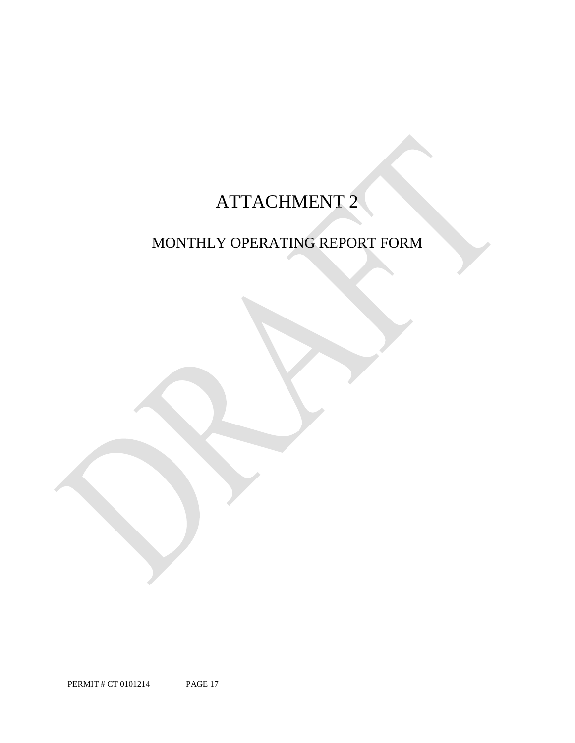# ATTACHMENT 2

# MONTHLY OPERATING REPORT FORM

PERMIT # CT 0101214 PAGE 17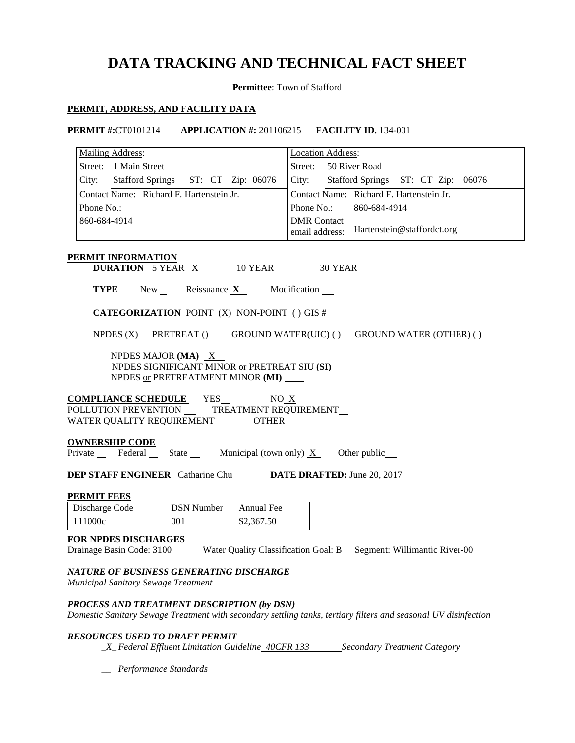# **DATA TRACKING AND TECHNICAL FACT SHEET**

**Permittee**: Town of Stafford

# **PERMIT, ADDRESS, AND FACILITY DATA**

**PERMIT #:**CT0101214 **APPLICATION #:** 201106215 **FACILITY ID.** 134-001

| <b>Mailing Address:</b>                                                                                                                                       | <b>Location Address:</b>                  |
|---------------------------------------------------------------------------------------------------------------------------------------------------------------|-------------------------------------------|
| Street: 1 Main Street                                                                                                                                         | Street: 50 River Road                     |
| City: Stafford Springs ST: CT Zip: 06076                                                                                                                      | City: Stafford Springs ST: CT Zip: 06076  |
| Contact Name: Richard F. Hartenstein Jr.                                                                                                                      | Contact Name: Richard F. Hartenstein Jr.  |
| Phone No.:                                                                                                                                                    | Phone No.:<br>860-684-4914                |
| 860-684-4914                                                                                                                                                  | <b>DMR</b> Contact                        |
|                                                                                                                                                               | email address: Hartenstein@staffordct.org |
| PERMIT INFORMATION                                                                                                                                            |                                           |
| <b>DURATION</b> 5 YEAR $X$ 10 YEAR $\_\$ 30 YEAR $\_\$                                                                                                        |                                           |
| <b>TYPE</b> New Reissuance $X$ Modification $\overline{\phantom{a}}$                                                                                          |                                           |
| <b>CATEGORIZATION POINT (X) NON-POINT () GIS #</b>                                                                                                            |                                           |
| NPDES (X) PRETREAT () GROUND WATER(UIC) () GROUND WATER (OTHER) ()                                                                                            |                                           |
| NPDES MAJOR (MA) $X$<br>NPDES SIGNIFICANT MINOR or PRETREAT SIU (SI)<br>NPDES or PRETREATMENT MINOR (MI)                                                      |                                           |
| <b>COMPLIANCE SCHEDULE</b> YES NO X<br>POLLUTION PREVENTION __ TREATMENT REQUIREMENT __<br>WATER QUALITY REQUIREMENT _________ OTHER _____                    |                                           |
| <b>OWNERSHIP CODE</b><br>$\overline{\text{Private}}$ Federal State Municipal (town only) $\underline{X}$ Other public                                         |                                           |
| <b>DEP STAFF ENGINEER</b> Catharine Chu <b>DATE DRAFTED:</b> June 20, 2017                                                                                    |                                           |
| <b>PERMIT FEES</b>                                                                                                                                            |                                           |
| Annual Fee<br><b>DSN Number</b><br>Discharge Code                                                                                                             |                                           |
| 111000c<br>001<br>\$2,367.50                                                                                                                                  |                                           |
| <b>FOR NPDES DISCHARGES</b><br>Drainage Basin Code: 3100<br>Water Quality Classification Goal: B                                                              | Segment: Willimantic River-00             |
| NATURE OF BUSINESS GENERATING DISCHARGE<br>Municipal Sanitary Sewage Treatment                                                                                |                                           |
| PROCESS AND TREATMENT DESCRIPTION (by DSN)<br>Domestic Sanitary Sewage Treatment with secondary settling tanks, tertiary filters and seasonal UV disinfection |                                           |
| <b>RESOURCES USED TO DRAFT PERMIT</b>                                                                                                                         |                                           |

*\_X\_Federal Effluent Limitation Guideline <del>40CFR 133</del> Secondary Treatment Category* 

*\_\_ Performance Standards*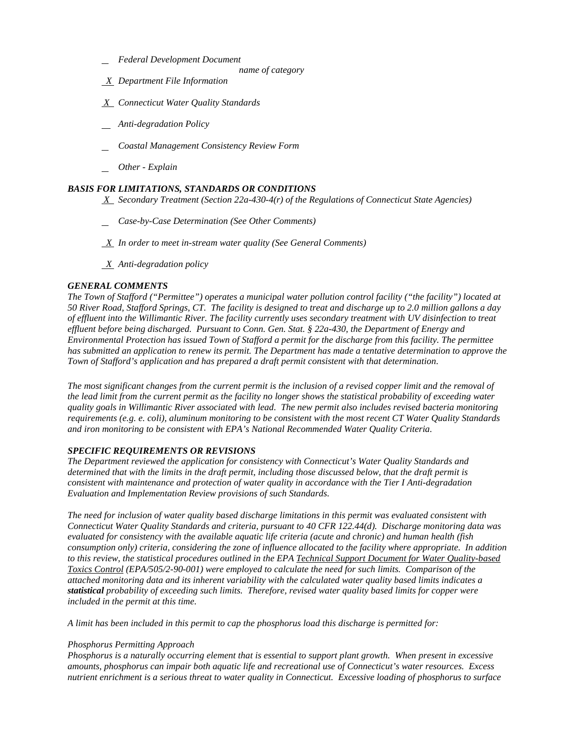- *Federal Development Document*
	- *name of category*
- *X Department File Information*
- *X Connecticut Water Quality Standards*
- *Anti-degradation Policy*
- *Coastal Management Consistency Review Form*
- *Other - Explain*

# *BASIS FOR LIMITATIONS, STANDARDS OR CONDITIONS*

 *X Secondary Treatment (Section 22a-430-4(r) of the Regulations of Connecticut State Agencies)* 

- *Case-by-Case Determination (See Other Comments)*
- *X In order to meet in-stream water quality (See General Comments)*
- *X Anti-degradation policy*

# *GENERAL COMMENTS*

 *The Town of Stafford ("Permittee") operates a municipal water pollution control facility ("the facility") located at 50 River Road, Stafford Springs, CT. The facility is designed to treat and discharge up to 2.0 million gallons a day of effluent into the Willimantic River. The facility currently uses secondary treatment with UV disinfection to treat*  Town of Stafford's application and has prepared a draft permit consistent with that determination. *effluent before being discharged. Pursuant to Conn. Gen. Stat. § 22a-430, the Department of Energy and Environmental Protection has issued Town of Stafford a permit for the discharge from this facility. The permittee has submitted an application to renew its permit. The Department has made a tentative determination to approve the* 

Town of Stafford's application and has prepared a draft permit consistent with that determination.<br>The most significant changes from the current permit is the inclusion of a revised copper limit and the removal of *and iron monitoring to be consistent with EPA's National Recommended Water Quality Criteria. the lead limit from the current permit as the facility no longer shows the statistical probability of exceeding water quality goals in Willimantic River associated with lead. The new permit also includes revised bacteria monitoring requirements (e.g. e. coli), aluminum monitoring to be consistent with the most recent CT Water Quality Standards* 

# *SPECIFIC REQUIREMENTS OR REVISIONS*

**Evaluation and Implementation Review provisions of such Standards.** *The Department reviewed the application for consistency with Connecticut's Water Quality Standards and determined that with the limits in the draft permit, including those discussed below, that the draft permit is consistent with maintenance and protection of water quality in accordance with the Tier I Anti-degradation* 

 *Connecticut Water Quality Standards and criteria, pursuant to 40 CFR 122.44(d). Discharge monitoring data was consumption only) criteria, considering the zone of influence allocated to the facility where appropriate. In addition to this review, the statistical procedures outlined in the EPA Technical Support Document for Water Quality-based The need for inclusion of water quality based discharge limitations in this permit was evaluated consistent with evaluated for consistency with the available aquatic life criteria (acute and chronic) and human health (fish Toxics Control (EPA/505/2-90-001) were employed to calculate the need for such limits. Comparison of the attached monitoring data and its inherent variability with the calculated water quality based limits indicates a statistical probability of exceeding such limits. Therefore, revised water quality based limits for copper were included in the permit at this time.* 

*A limit has been included in this permit to cap the phosphorus load this discharge is permitted for:* 

# *Phosphorus Permitting Approach*

*Phosphorus is a naturally occurring element that is essential to support plant growth. When present in excessive amounts, phosphorus can impair both aquatic life and recreational use of Connecticut's water resources. Excess nutrient enrichment is a serious threat to water quality in Connecticut. Excessive loading of phosphorus to surface*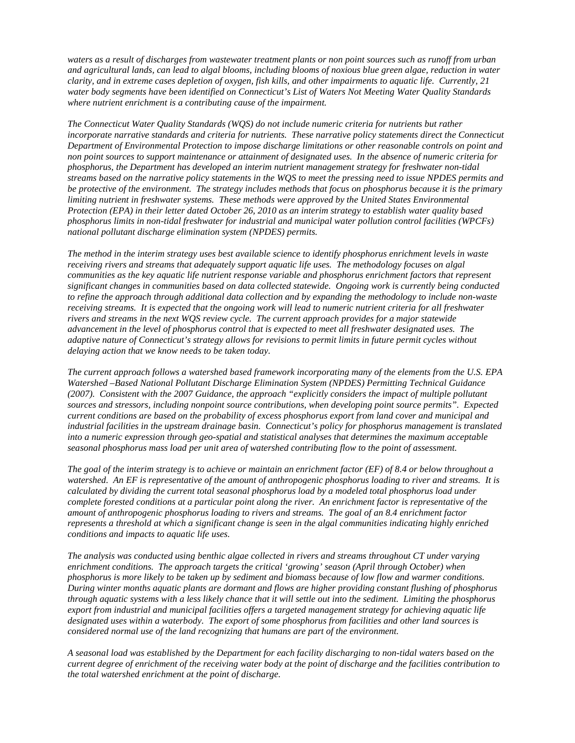*water body segments have been identified on Connecticut's List of Waters Not Meeting Water Quality Standards waters as a result of discharges from wastewater treatment plants or non point sources such as runoff from urban and agricultural lands, can lead to algal blooms, including blooms of noxious blue green algae, reduction in water clarity, and in extreme cases depletion of oxygen, fish kills, and other impairments to aquatic life. Currently, 21 where nutrient enrichment is a contributing cause of the impairment.* 

 *phosphorus limits in non-tidal freshwater for industrial and municipal water pollution control facilities (WPCFs)*  national pollutant discharge elimination system (NPDES) permits. *The Connecticut Water Quality Standards (WQS) do not include numeric criteria for nutrients but rather incorporate narrative standards and criteria for nutrients. These narrative policy statements direct the Connecticut Department of Environmental Protection to impose discharge limitations or other reasonable controls on point and non point sources to support maintenance or attainment of designated uses. In the absence of numeric criteria for phosphorus, the Department has developed an interim nutrient management strategy for freshwater non-tidal streams based on the narrative policy statements in the WQS to meet the pressing need to issue NPDES permits and be protective of the environment. The strategy includes methods that focus on phosphorus because it is the primary limiting nutrient in freshwater systems. These methods were approved by the United States Environmental Protection (EPA) in their letter dated October 26, 2010 as an interim strategy to establish water quality based* 

*The method in the interim strategy uses best available science to identify phosphorus enrichment levels in waste receiving rivers and streams that adequately support aquatic life uses. The methodology focuses on algal communities as the key aquatic life nutrient response variable and phosphorus enrichment factors that represent significant changes in communities based on data collected statewide. Ongoing work is currently being conducted to refine the approach through additional data collection and by expanding the methodology to include non-waste receiving streams. It is expected that the ongoing work will lead to numeric nutrient criteria for all freshwater rivers and streams in the next WQS review cycle. The current approach provides for a major statewide advancement in the level of phosphorus control that is expected to meet all freshwater designated uses. The adaptive nature of Connecticut's strategy allows for revisions to permit limits in future permit cycles without delaying action that we know needs to be taken today.* 

 *seasonal phosphorus mass load per unit area of watershed contributing flow to the point of assessment. The current approach follows a watershed based framework incorporating many of the elements from the U.S. EPA Watershed –Based National Pollutant Discharge Elimination System (NPDES) Permitting Technical Guidance (2007). Consistent with the 2007 Guidance, the approach "explicitly considers the impact of multiple pollutant sources and stressors, including nonpoint source contributions, when developing point source permits". Expected current conditions are based on the probability of excess phosphorus export from land cover and municipal and industrial facilities in the upstream drainage basin. Connecticut's policy for phosphorus management is translated into a numeric expression through geo-spatial and statistical analyses that determines the maximum acceptable* 

*The goal of the interim strategy is to achieve or maintain an enrichment factor (EF) of 8.4 or below throughout a watershed. An EF is representative of the amount of anthropogenic phosphorus loading to river and streams. It is calculated by dividing the current total seasonal phosphorus load by a modeled total phosphorus load under complete forested conditions at a particular point along the river. An enrichment factor is representative of the amount of anthropogenic phosphorus loading to rivers and streams. The goal of an 8.4 enrichment factor represents a threshold at which a significant change is seen in the algal communities indicating highly enriched* 

*phosphorus is more likely to be taken up by sediment and biomass because of low flow and warmer conditions. considered normal use of the land recognizing that humans are part of the environment. conditions and impacts to aquatic life uses. The analysis was conducted using benthic algae collected in rivers and streams throughout CT under varying enrichment conditions. The approach targets the critical 'growing' season (April through October) when*  During winter months aquatic plants are dormant and flows are higher providing constant flushing of phosphorus *through aquatic systems with a less likely chance that it will settle out into the sediment. Limiting the phosphorus export from industrial and municipal facilities offers a targeted management strategy for achieving aquatic life designated uses within a waterbody. The export of some phosphorus from facilities and other land sources is* 

 *current degree of enrichment of the receiving water body at the point of discharge and the facilities contribution to the total watershed enrichment at the point of discharge. A seasonal load was established by the Department for each facility discharging to non-tidal waters based on the*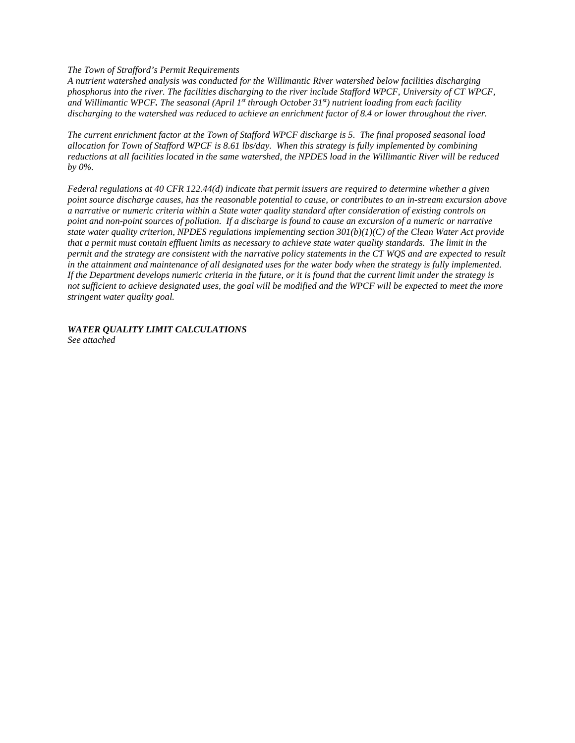*The Town of Strafford's Permit Requirements* 

discharging to the watershed was reduced to achieve an enrichment factor of 8.4 or lower throughout the river. *A nutrient watershed analysis was conducted for the Willimantic River watershed below facilities discharging phosphorus into the river. The facilities discharging to the river include Stafford WPCF, University of CT WPCF, and Willimantic WPCF. The seasonal (April 1st through October 31st) nutrient loading from each facility* 

discharging to the watershed was reduced to achieve an enrichment factor of 8.4 or lower throughout the river.<br>The current enrichment factor at the Town of Stafford WPCF discharge is 5. The final proposed seasonal load  *allocation for Town of Stafford WPCF is 8.61 lbs/day. When this strategy is fully implemented by combining reductions at all facilities located in the same watershed, the NPDES load in the Willimantic River will be reduced by 0%.* 

in the attainment and maintenance of all designated uses for the water body when the strategy is fully implemented.  *stringent water quality goal. Federal regulations at 40 CFR 122.44(d) indicate that permit issuers are required to determine whether a given point source discharge causes, has the reasonable potential to cause, or contributes to an in-stream excursion above a narrative or numeric criteria within a State water quality standard after consideration of existing controls on point and non-point sources of pollution. If a discharge is found to cause an excursion of a numeric or narrative state water quality criterion, NPDES regulations implementing section 301(b)(1)(C) of the Clean Water Act provide that a permit must contain effluent limits as necessary to achieve state water quality standards. The limit in the permit and the strategy are consistent with the narrative policy statements in the CT WOS and are expected to result* If the Department develops numeric criteria in the future, or it is found that the current limit under the strategy is not sufficient to achieve designated uses, the goal will be modified and the WPCF will be expected to meet the more

*WATER QUALITY LIMIT CALCULATIONS See attached*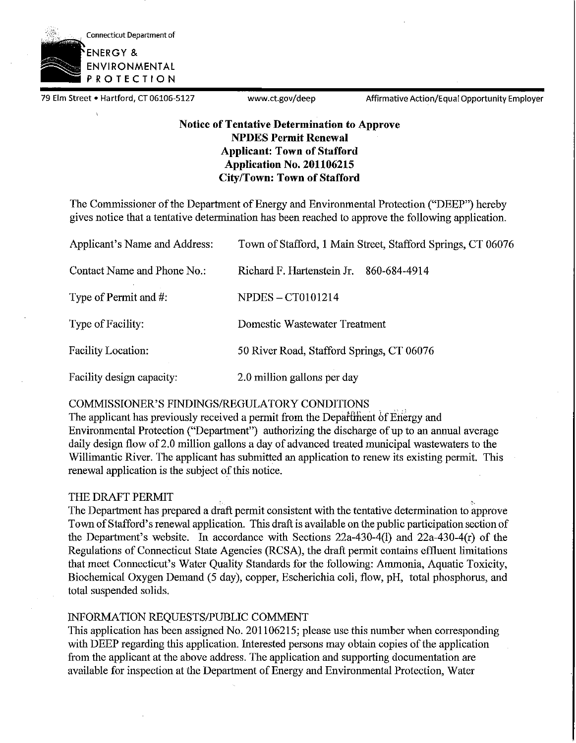

79 Elm Street • Hartford, CT 06106-5127 www.ct.gov/deep Affirmative Action/Equal Opportunity Employer

# **Notice of Tentative Determination to Approve NPDES Permit Renewal Applicant: Town of Stafford Application No. 201106215 City/Town: Town of Stafford**

The Commissioner of the Department of Energy and Environmental Protection ("DEEP") hereby gives notice that a tentative determination has been reached to approve the following application.

| Applicant's Name and Address: | Town of Stafford, 1 Main Street, Stafford Springs, CT 06076 |
|-------------------------------|-------------------------------------------------------------|
| Contact Name and Phone No.:   | Richard F. Hartenstein Jr.<br>860-684-4914                  |
| Type of Permit and #:         | <b>NPDES - CT0101214</b>                                    |
| Type of Facility:             | Domestic Wastewater Treatment                               |
| Facility Location:            | 50 River Road, Stafford Springs, CT 06076                   |
| Facility design capacity:     | 2.0 million gallons per day                                 |

# COMMISSIONER'S FINDINGS/REGULATORY CONDITIONS

The applicant has previously received a permit from the Departiment of Energy and Environmental Protection ("Department") authorizing the discharge of up to an annual average daily design flow of 2.0 million gallons a day of advanced treated municipal wastewaters to the Willimantic River. The applicant has submitted an application to renew its existing permit. This renewal application is the subject of this notice.

# THE DRAFT PERMIT

The Department has prepared a draft permit consistent with the tentative determination to approve Town ofStafford's renewal application. This draft is available on the public participation section of the Department's website. In accordance with Sections 22a-430-4(1) and 22a-430-4(r) of the Regulations of Connecticut State Agencies (RCSA), the draft permit contains effluent limitations that meet Connecticut's Water Quality Standards for the following: Ammonia, Aquatic Toxicity, Biochemical Oxygen Demand (5 day), copper, Escherichia coli, flow, pH, total phosphorus, and total suspended solids.

# INFORMATION REQUESTS/PUBLIC COMMENT

This application has been assigned No. 201106215; please use this number when corresponding with DEEP regarding this application. Interested persons may obtain copies of the application from the applicant at the above address. The application and supporting documentation are available for inspection at the Department of Energy and Environmental Protection, Water